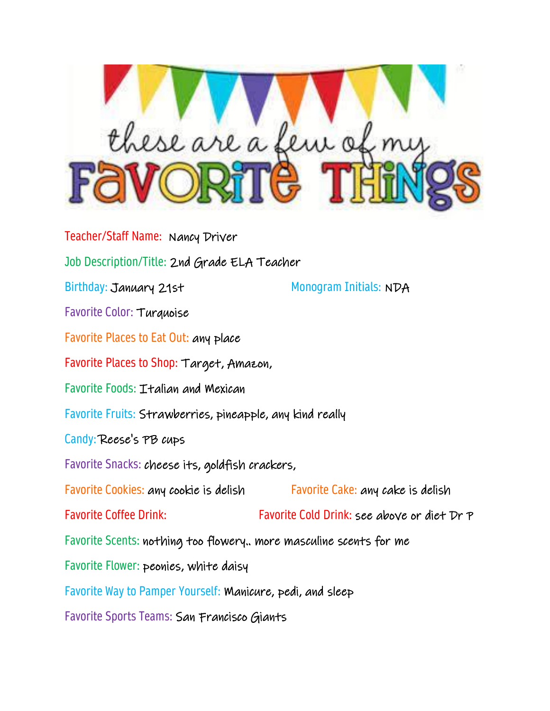

Teacher/Staff Name: Nancy Driver Job Description/Title: 2nd Grade ELA Teacher Birthday: January 21st Monogram Initials: NDA Favorite Color: Turquoise Favorite Places to Eat Out: any place Favorite Places to Shop: Target, Amazon, Favorite Foods: Italian and Mexican Favorite Fruits: Strawberries, pineapple, any kind really Candy: Reese's PB cups Favorite Snacks: cheese its, goldfish crackers, Favorite Cookies: any cookie is delish Favorite Cake: any cake is delish Favorite Coffee Drink: Favorite Cold Drink: see above or diet Dr P Favorite Scents: nothing too flowery.. more masculine scents for me Favorite Flower: peonies, white daisy Favorite Way to Pamper Yourself: Manicure, pedi, and sleep Favorite Sports Teams: San Francisco Giants